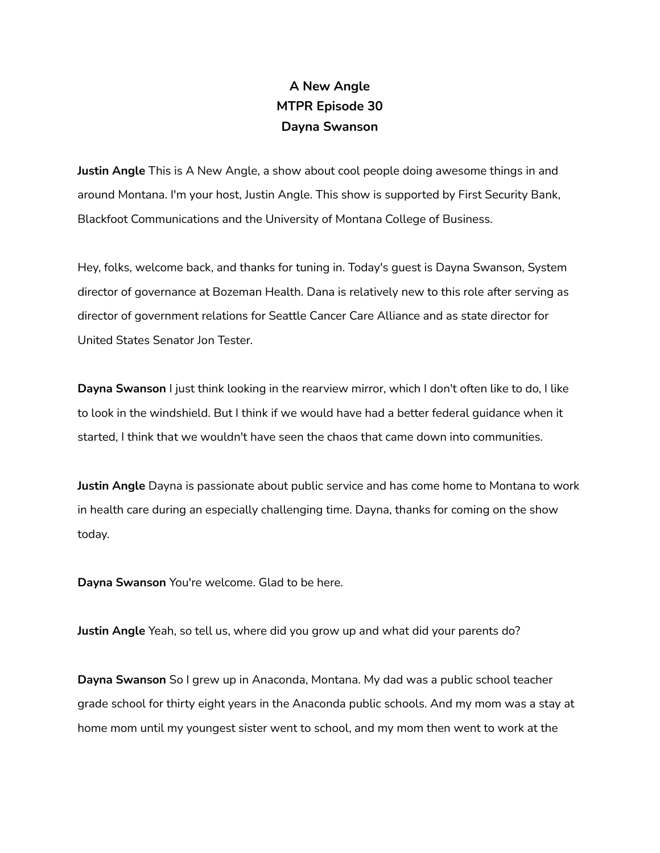## **A New Angle MTPR Episode 30 Dayna Swanson**

**Justin Angle** This is A New Angle, a show about cool people doing awesome things in and around Montana. I'm your host, Justin Angle. This show is supported by First Security Bank, Blackfoot Communications and the University of Montana College of Business.

Hey, folks, welcome back, and thanks for tuning in. Today's guest is Dayna Swanson, System director of governance at Bozeman Health. Dana is relatively new to this role after serving as director of government relations for Seattle Cancer Care Alliance and as state director for United States Senator Jon Tester.

**Dayna Swanson** I just think looking in the rearview mirror, which I don't often like to do, I like to look in the windshield. But I think if we would have had a better federal guidance when it started, I think that we wouldn't have seen the chaos that came down into communities.

**Justin Angle** Dayna is passionate about public service and has come home to Montana to work in health care during an especially challenging time. Dayna, thanks for coming on the show today.

**Dayna Swanson** You're welcome. Glad to be here.

**Justin Angle** Yeah, so tell us, where did you grow up and what did your parents do?

**Dayna Swanson** So I grew up in Anaconda, Montana. My dad was a public school teacher grade school for thirty eight years in the Anaconda public schools. And my mom was a stay at home mom until my youngest sister went to school, and my mom then went to work at the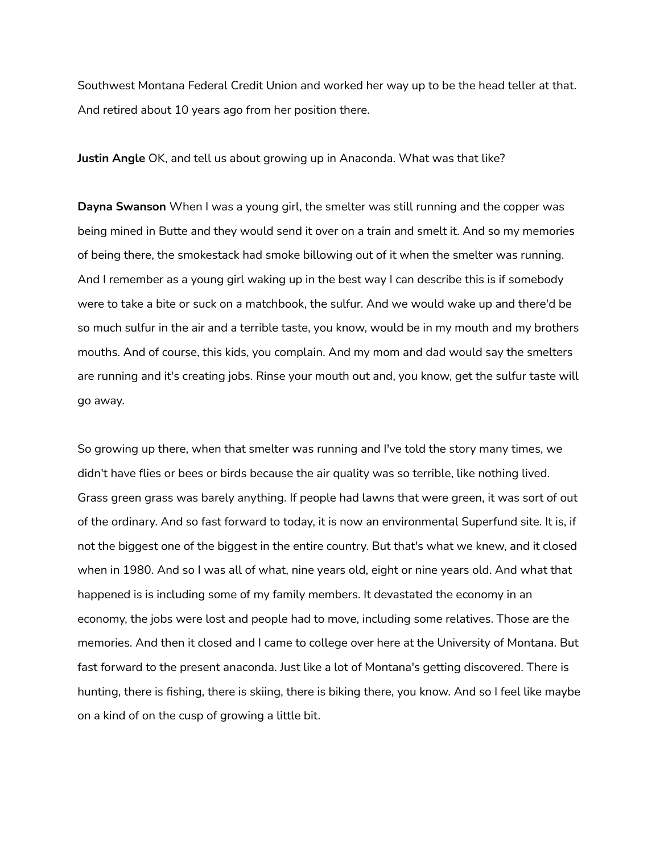Southwest Montana Federal Credit Union and worked her way up to be the head teller at that. And retired about 10 years ago from her position there.

**Justin Angle** OK, and tell us about growing up in Anaconda. What was that like?

**Dayna Swanson** When I was a young girl, the smelter was still running and the copper was being mined in Butte and they would send it over on a train and smelt it. And so my memories of being there, the smokestack had smoke billowing out of it when the smelter was running. And I remember as a young girl waking up in the best way I can describe this is if somebody were to take a bite or suck on a matchbook, the sulfur. And we would wake up and there'd be so much sulfur in the air and a terrible taste, you know, would be in my mouth and my brothers mouths. And of course, this kids, you complain. And my mom and dad would say the smelters are running and it's creating jobs. Rinse your mouth out and, you know, get the sulfur taste will go away.

So growing up there, when that smelter was running and I've told the story many times, we didn't have flies or bees or birds because the air quality was so terrible, like nothing lived. Grass green grass was barely anything. If people had lawns that were green, it was sort of out of the ordinary. And so fast forward to today, it is now an environmental Superfund site. It is, if not the biggest one of the biggest in the entire country. But that's what we knew, and it closed when in 1980. And so I was all of what, nine years old, eight or nine years old. And what that happened is is including some of my family members. It devastated the economy in an economy, the jobs were lost and people had to move, including some relatives. Those are the memories. And then it closed and I came to college over here at the University of Montana. But fast forward to the present anaconda. Just like a lot of Montana's getting discovered. There is hunting, there is fishing, there is skiing, there is biking there, you know. And so I feel like maybe on a kind of on the cusp of growing a little bit.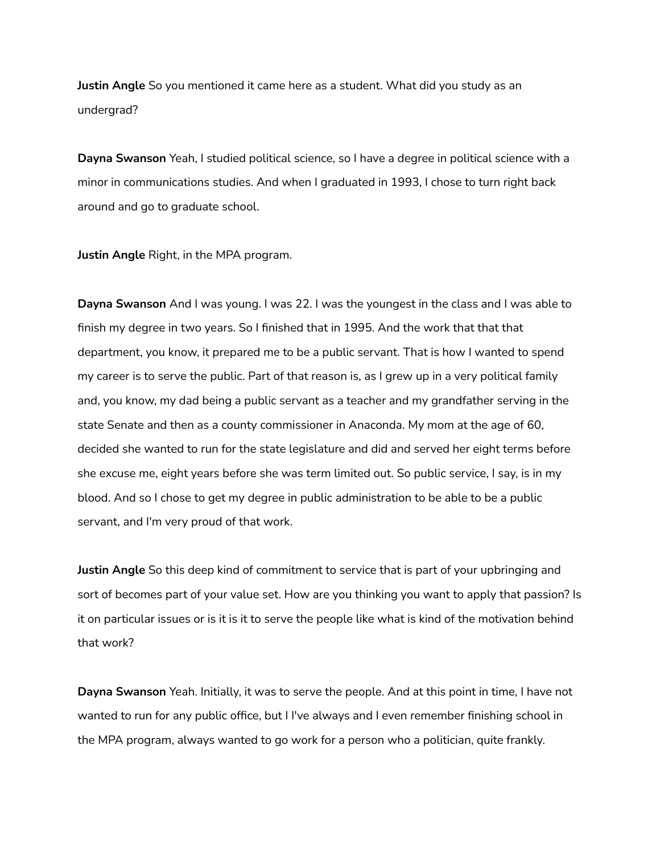**Justin Angle** So you mentioned it came here as a student. What did you study as an undergrad?

**Dayna Swanson** Yeah, I studied political science, so I have a degree in political science with a minor in communications studies. And when I graduated in 1993, I chose to turn right back around and go to graduate school.

**Justin Angle** Right, in the MPA program.

**Dayna Swanson** And I was young. I was 22. I was the youngest in the class and I was able to finish my degree in two years. So I finished that in 1995. And the work that that that department, you know, it prepared me to be a public servant. That is how I wanted to spend my career is to serve the public. Part of that reason is, as I grew up in a very political family and, you know, my dad being a public servant as a teacher and my grandfather serving in the state Senate and then as a county commissioner in Anaconda. My mom at the age of 60, decided she wanted to run for the state legislature and did and served her eight terms before she excuse me, eight years before she was term limited out. So public service, I say, is in my blood. And so I chose to get my degree in public administration to be able to be a public servant, and I'm very proud of that work.

**Justin Angle** So this deep kind of commitment to service that is part of your upbringing and sort of becomes part of your value set. How are you thinking you want to apply that passion? Is it on particular issues or is it is it to serve the people like what is kind of the motivation behind that work?

**Dayna Swanson** Yeah. Initially, it was to serve the people. And at this point in time, I have not wanted to run for any public office, but I I've always and I even remember finishing school in the MPA program, always wanted to go work for a person who a politician, quite frankly.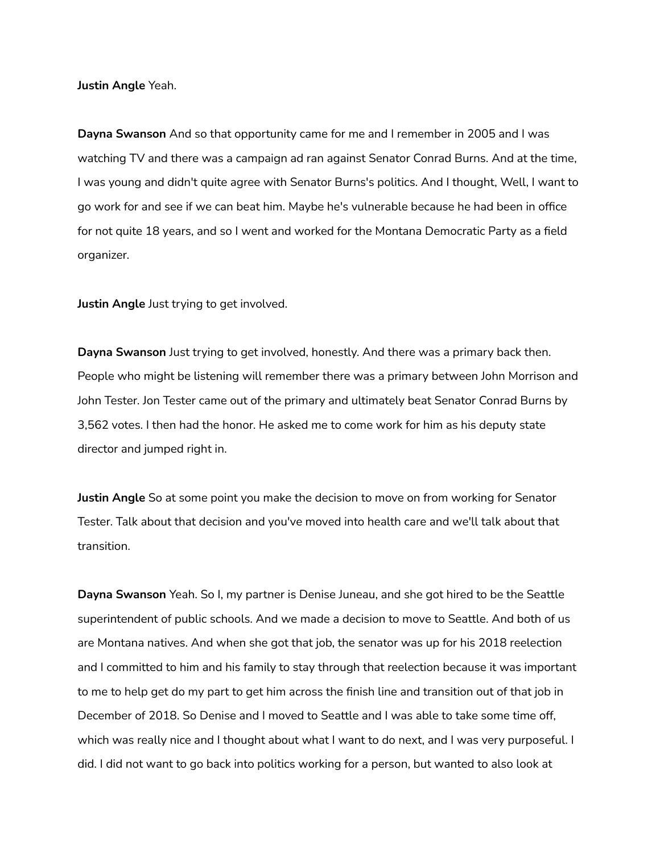**Justin Angle** Yeah.

**Dayna Swanson** And so that opportunity came for me and I remember in 2005 and I was watching TV and there was a campaign ad ran against Senator Conrad Burns. And at the time, I was young and didn't quite agree with Senator Burns's politics. And I thought, Well, I want to go work for and see if we can beat him. Maybe he's vulnerable because he had been in office for not quite 18 years, and so I went and worked for the Montana Democratic Party as a field organizer.

**Justin Angle** Just trying to get involved.

**Dayna Swanson** Just trying to get involved, honestly. And there was a primary back then. People who might be listening will remember there was a primary between John Morrison and John Tester. Jon Tester came out of the primary and ultimately beat Senator Conrad Burns by 3,562 votes. I then had the honor. He asked me to come work for him as his deputy state director and jumped right in.

**Justin Angle** So at some point you make the decision to move on from working for Senator Tester. Talk about that decision and you've moved into health care and we'll talk about that transition.

**Dayna Swanson** Yeah. So I, my partner is Denise Juneau, and she got hired to be the Seattle superintendent of public schools. And we made a decision to move to Seattle. And both of us are Montana natives. And when she got that job, the senator was up for his 2018 reelection and I committed to him and his family to stay through that reelection because it was important to me to help get do my part to get him across the finish line and transition out of that job in December of 2018. So Denise and I moved to Seattle and I was able to take some time off, which was really nice and I thought about what I want to do next, and I was very purposeful. I did. I did not want to go back into politics working for a person, but wanted to also look at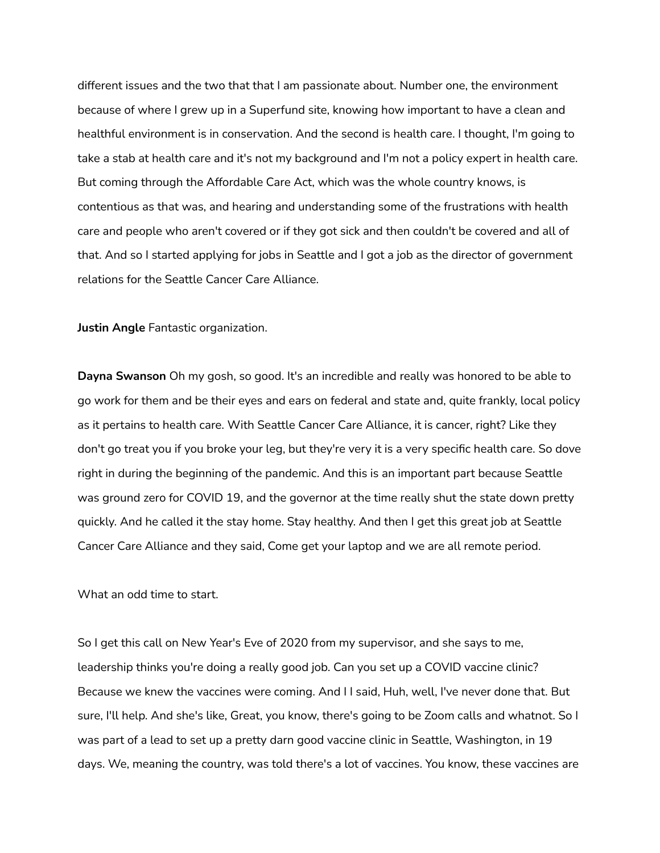different issues and the two that that I am passionate about. Number one, the environment because of where I grew up in a Superfund site, knowing how important to have a clean and healthful environment is in conservation. And the second is health care. I thought, I'm going to take a stab at health care and it's not my background and I'm not a policy expert in health care. But coming through the Affordable Care Act, which was the whole country knows, is contentious as that was, and hearing and understanding some of the frustrations with health care and people who aren't covered or if they got sick and then couldn't be covered and all of that. And so I started applying for jobs in Seattle and I got a job as the director of government relations for the Seattle Cancer Care Alliance.

**Justin Angle** Fantastic organization.

**Dayna Swanson** Oh my gosh, so good. It's an incredible and really was honored to be able to go work for them and be their eyes and ears on federal and state and, quite frankly, local policy as it pertains to health care. With Seattle Cancer Care Alliance, it is cancer, right? Like they don't go treat you if you broke your leg, but they're very it is a very specific health care. So dove right in during the beginning of the pandemic. And this is an important part because Seattle was ground zero for COVID 19, and the governor at the time really shut the state down pretty quickly. And he called it the stay home. Stay healthy. And then I get this great job at Seattle Cancer Care Alliance and they said, Come get your laptop and we are all remote period.

What an odd time to start.

So I get this call on New Year's Eve of 2020 from my supervisor, and she says to me, leadership thinks you're doing a really good job. Can you set up a COVID vaccine clinic? Because we knew the vaccines were coming. And I I said, Huh, well, I've never done that. But sure, I'll help. And she's like, Great, you know, there's going to be Zoom calls and whatnot. So I was part of a lead to set up a pretty darn good vaccine clinic in Seattle, Washington, in 19 days. We, meaning the country, was told there's a lot of vaccines. You know, these vaccines are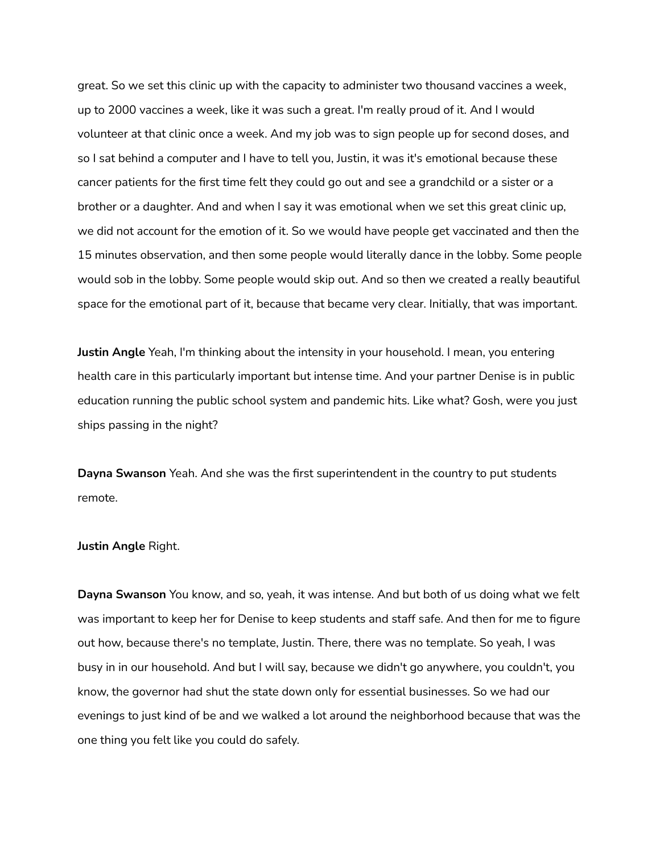great. So we set this clinic up with the capacity to administer two thousand vaccines a week, up to 2000 vaccines a week, like it was such a great. I'm really proud of it. And I would volunteer at that clinic once a week. And my job was to sign people up for second doses, and so I sat behind a computer and I have to tell you, Justin, it was it's emotional because these cancer patients for the first time felt they could go out and see a grandchild or a sister or a brother or a daughter. And and when I say it was emotional when we set this great clinic up, we did not account for the emotion of it. So we would have people get vaccinated and then the 15 minutes observation, and then some people would literally dance in the lobby. Some people would sob in the lobby. Some people would skip out. And so then we created a really beautiful space for the emotional part of it, because that became very clear. Initially, that was important.

**Justin Angle** Yeah, I'm thinking about the intensity in your household. I mean, you entering health care in this particularly important but intense time. And your partner Denise is in public education running the public school system and pandemic hits. Like what? Gosh, were you just ships passing in the night?

**Dayna Swanson** Yeah. And she was the first superintendent in the country to put students remote.

## **Justin Angle** Right.

**Dayna Swanson** You know, and so, yeah, it was intense. And but both of us doing what we felt was important to keep her for Denise to keep students and staff safe. And then for me to figure out how, because there's no template, Justin. There, there was no template. So yeah, I was busy in in our household. And but I will say, because we didn't go anywhere, you couldn't, you know, the governor had shut the state down only for essential businesses. So we had our evenings to just kind of be and we walked a lot around the neighborhood because that was the one thing you felt like you could do safely.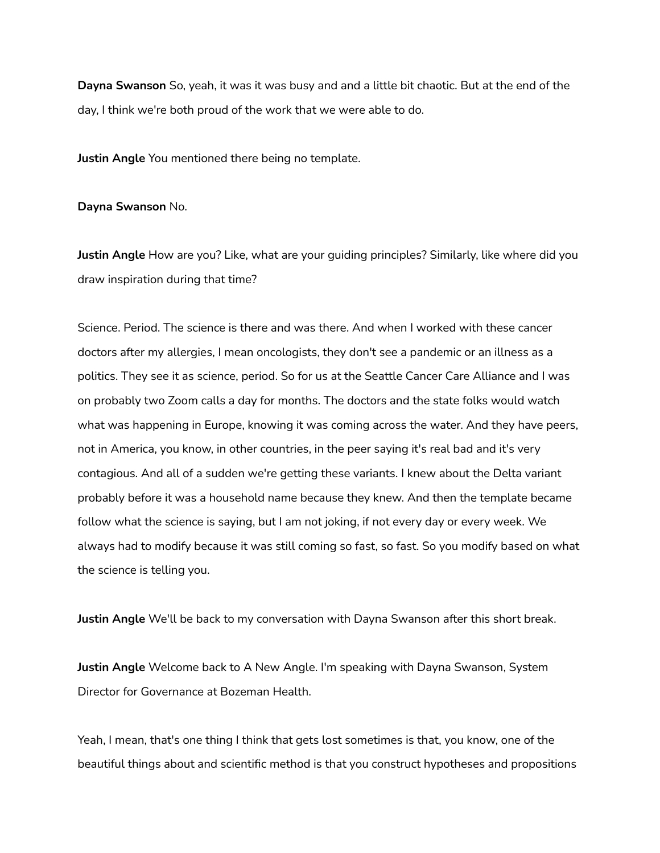**Dayna Swanson** So, yeah, it was it was busy and and a little bit chaotic. But at the end of the day, I think we're both proud of the work that we were able to do.

**Justin Angle** You mentioned there being no template.

**Dayna Swanson** No.

**Justin Angle** How are you? Like, what are your guiding principles? Similarly, like where did you draw inspiration during that time?

Science. Period. The science is there and was there. And when I worked with these cancer doctors after my allergies, I mean oncologists, they don't see a pandemic or an illness as a politics. They see it as science, period. So for us at the Seattle Cancer Care Alliance and I was on probably two Zoom calls a day for months. The doctors and the state folks would watch what was happening in Europe, knowing it was coming across the water. And they have peers, not in America, you know, in other countries, in the peer saying it's real bad and it's very contagious. And all of a sudden we're getting these variants. I knew about the Delta variant probably before it was a household name because they knew. And then the template became follow what the science is saying, but I am not joking, if not every day or every week. We always had to modify because it was still coming so fast, so fast. So you modify based on what the science is telling you.

**Justin Angle** We'll be back to my conversation with Dayna Swanson after this short break.

**Justin Angle** Welcome back to A New Angle. I'm speaking with Dayna Swanson, System Director for Governance at Bozeman Health.

Yeah, I mean, that's one thing I think that gets lost sometimes is that, you know, one of the beautiful things about and scientific method is that you construct hypotheses and propositions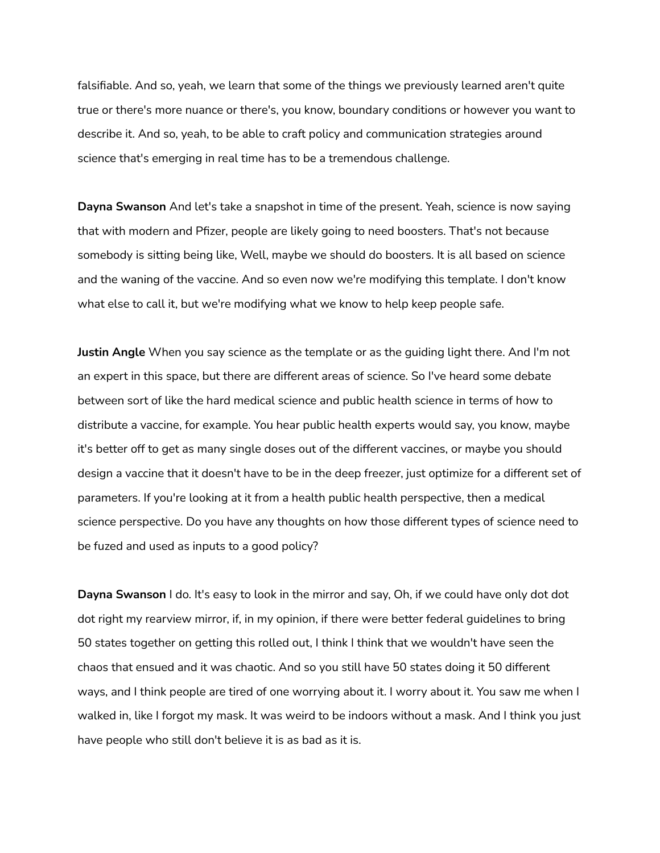falsifiable. And so, yeah, we learn that some of the things we previously learned aren't quite true or there's more nuance or there's, you know, boundary conditions or however you want to describe it. And so, yeah, to be able to craft policy and communication strategies around science that's emerging in real time has to be a tremendous challenge.

**Dayna Swanson** And let's take a snapshot in time of the present. Yeah, science is now saying that with modern and Pfizer, people are likely going to need boosters. That's not because somebody is sitting being like, Well, maybe we should do boosters. It is all based on science and the waning of the vaccine. And so even now we're modifying this template. I don't know what else to call it, but we're modifying what we know to help keep people safe.

**Justin Angle** When you say science as the template or as the guiding light there. And I'm not an expert in this space, but there are different areas of science. So I've heard some debate between sort of like the hard medical science and public health science in terms of how to distribute a vaccine, for example. You hear public health experts would say, you know, maybe it's better off to get as many single doses out of the different vaccines, or maybe you should design a vaccine that it doesn't have to be in the deep freezer, just optimize for a different set of parameters. If you're looking at it from a health public health perspective, then a medical science perspective. Do you have any thoughts on how those different types of science need to be fuzed and used as inputs to a good policy?

**Dayna Swanson** I do. It's easy to look in the mirror and say, Oh, if we could have only dot dot dot right my rearview mirror, if, in my opinion, if there were better federal guidelines to bring 50 states together on getting this rolled out, I think I think that we wouldn't have seen the chaos that ensued and it was chaotic. And so you still have 50 states doing it 50 different ways, and I think people are tired of one worrying about it. I worry about it. You saw me when I walked in, like I forgot my mask. It was weird to be indoors without a mask. And I think you just have people who still don't believe it is as bad as it is.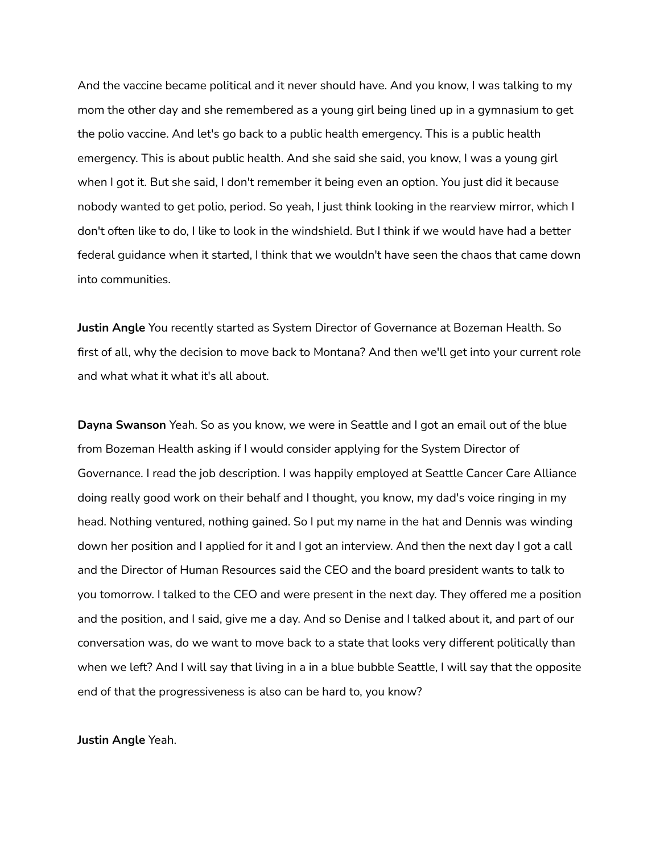And the vaccine became political and it never should have. And you know, I was talking to my mom the other day and she remembered as a young girl being lined up in a gymnasium to get the polio vaccine. And let's go back to a public health emergency. This is a public health emergency. This is about public health. And she said she said, you know, I was a young girl when I got it. But she said, I don't remember it being even an option. You just did it because nobody wanted to get polio, period. So yeah, I just think looking in the rearview mirror, which I don't often like to do, I like to look in the windshield. But I think if we would have had a better federal guidance when it started, I think that we wouldn't have seen the chaos that came down into communities.

**Justin Angle** You recently started as System Director of Governance at Bozeman Health. So first of all, why the decision to move back to Montana? And then we'll get into your current role and what what it what it's all about.

**Dayna Swanson** Yeah. So as you know, we were in Seattle and I got an email out of the blue from Bozeman Health asking if I would consider applying for the System Director of Governance. I read the job description. I was happily employed at Seattle Cancer Care Alliance doing really good work on their behalf and I thought, you know, my dad's voice ringing in my head. Nothing ventured, nothing gained. So I put my name in the hat and Dennis was winding down her position and I applied for it and I got an interview. And then the next day I got a call and the Director of Human Resources said the CEO and the board president wants to talk to you tomorrow. I talked to the CEO and were present in the next day. They offered me a position and the position, and I said, give me a day. And so Denise and I talked about it, and part of our conversation was, do we want to move back to a state that looks very different politically than when we left? And I will say that living in a in a blue bubble Seattle, I will say that the opposite end of that the progressiveness is also can be hard to, you know?

**Justin Angle** Yeah.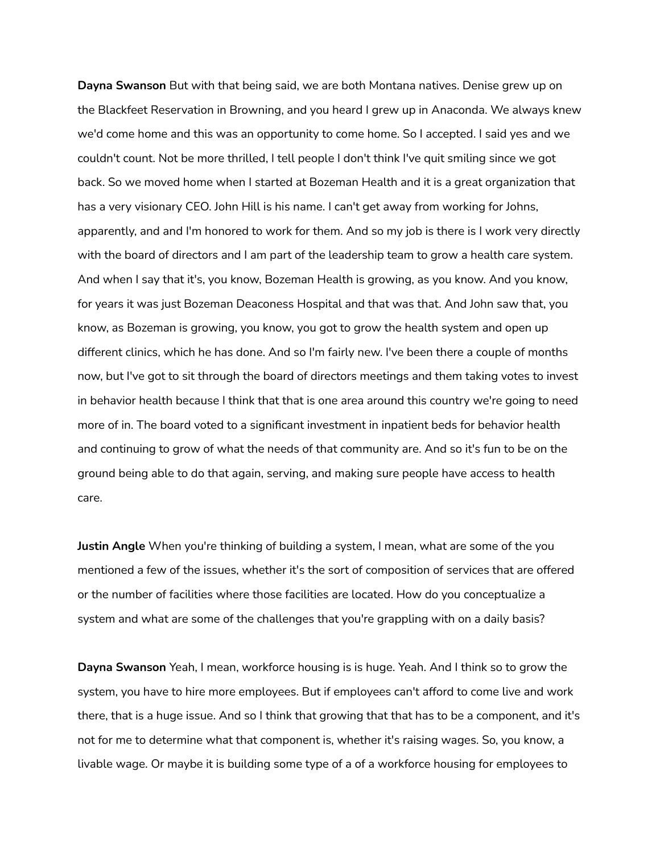**Dayna Swanson** But with that being said, we are both Montana natives. Denise grew up on the Blackfeet Reservation in Browning, and you heard I grew up in Anaconda. We always knew we'd come home and this was an opportunity to come home. So I accepted. I said yes and we couldn't count. Not be more thrilled, I tell people I don't think I've quit smiling since we got back. So we moved home when I started at Bozeman Health and it is a great organization that has a very visionary CEO. John Hill is his name. I can't get away from working for Johns, apparently, and and I'm honored to work for them. And so my job is there is I work very directly with the board of directors and I am part of the leadership team to grow a health care system. And when I say that it's, you know, Bozeman Health is growing, as you know. And you know, for years it was just Bozeman Deaconess Hospital and that was that. And John saw that, you know, as Bozeman is growing, you know, you got to grow the health system and open up different clinics, which he has done. And so I'm fairly new. I've been there a couple of months now, but I've got to sit through the board of directors meetings and them taking votes to invest in behavior health because I think that that is one area around this country we're going to need more of in. The board voted to a significant investment in inpatient beds for behavior health and continuing to grow of what the needs of that community are. And so it's fun to be on the ground being able to do that again, serving, and making sure people have access to health care.

**Justin Angle** When you're thinking of building a system, I mean, what are some of the you mentioned a few of the issues, whether it's the sort of composition of services that are offered or the number of facilities where those facilities are located. How do you conceptualize a system and what are some of the challenges that you're grappling with on a daily basis?

**Dayna Swanson** Yeah, I mean, workforce housing is is huge. Yeah. And I think so to grow the system, you have to hire more employees. But if employees can't afford to come live and work there, that is a huge issue. And so I think that growing that that has to be a component, and it's not for me to determine what that component is, whether it's raising wages. So, you know, a livable wage. Or maybe it is building some type of a of a workforce housing for employees to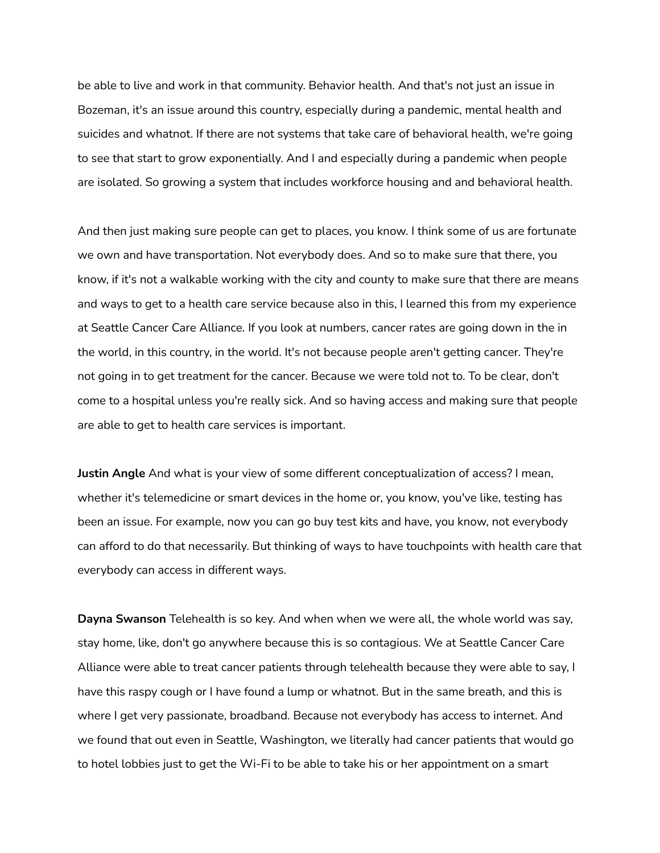be able to live and work in that community. Behavior health. And that's not just an issue in Bozeman, it's an issue around this country, especially during a pandemic, mental health and suicides and whatnot. If there are not systems that take care of behavioral health, we're going to see that start to grow exponentially. And I and especially during a pandemic when people are isolated. So growing a system that includes workforce housing and and behavioral health.

And then just making sure people can get to places, you know. I think some of us are fortunate we own and have transportation. Not everybody does. And so to make sure that there, you know, if it's not a walkable working with the city and county to make sure that there are means and ways to get to a health care service because also in this, I learned this from my experience at Seattle Cancer Care Alliance. If you look at numbers, cancer rates are going down in the in the world, in this country, in the world. It's not because people aren't getting cancer. They're not going in to get treatment for the cancer. Because we were told not to. To be clear, don't come to a hospital unless you're really sick. And so having access and making sure that people are able to get to health care services is important.

**Justin Angle** And what is your view of some different conceptualization of access? I mean, whether it's telemedicine or smart devices in the home or, you know, you've like, testing has been an issue. For example, now you can go buy test kits and have, you know, not everybody can afford to do that necessarily. But thinking of ways to have touchpoints with health care that everybody can access in different ways.

**Dayna Swanson** Telehealth is so key. And when when we were all, the whole world was say, stay home, like, don't go anywhere because this is so contagious. We at Seattle Cancer Care Alliance were able to treat cancer patients through telehealth because they were able to say, I have this raspy cough or I have found a lump or whatnot. But in the same breath, and this is where I get very passionate, broadband. Because not everybody has access to internet. And we found that out even in Seattle, Washington, we literally had cancer patients that would go to hotel lobbies just to get the Wi-Fi to be able to take his or her appointment on a smart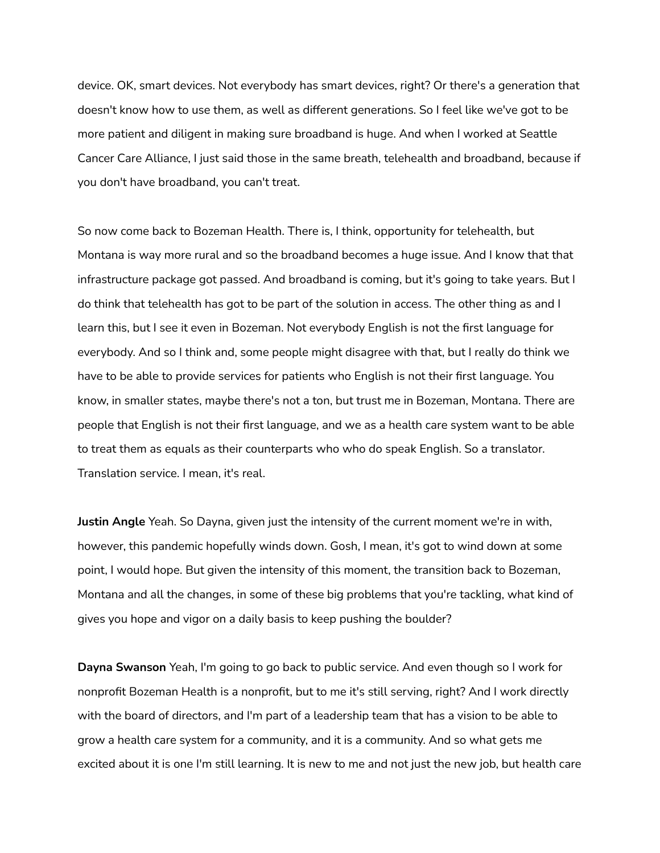device. OK, smart devices. Not everybody has smart devices, right? Or there's a generation that doesn't know how to use them, as well as different generations. So I feel like we've got to be more patient and diligent in making sure broadband is huge. And when I worked at Seattle Cancer Care Alliance, I just said those in the same breath, telehealth and broadband, because if you don't have broadband, you can't treat.

So now come back to Bozeman Health. There is, I think, opportunity for telehealth, but Montana is way more rural and so the broadband becomes a huge issue. And I know that that infrastructure package got passed. And broadband is coming, but it's going to take years. But I do think that telehealth has got to be part of the solution in access. The other thing as and I learn this, but I see it even in Bozeman. Not everybody English is not the first language for everybody. And so I think and, some people might disagree with that, but I really do think we have to be able to provide services for patients who English is not their first language. You know, in smaller states, maybe there's not a ton, but trust me in Bozeman, Montana. There are people that English is not their first language, and we as a health care system want to be able to treat them as equals as their counterparts who who do speak English. So a translator. Translation service. I mean, it's real.

**Justin Angle** Yeah. So Dayna, given just the intensity of the current moment we're in with, however, this pandemic hopefully winds down. Gosh, I mean, it's got to wind down at some point, I would hope. But given the intensity of this moment, the transition back to Bozeman, Montana and all the changes, in some of these big problems that you're tackling, what kind of gives you hope and vigor on a daily basis to keep pushing the boulder?

**Dayna Swanson** Yeah, I'm going to go back to public service. And even though so I work for nonprofit Bozeman Health is a nonprofit, but to me it's still serving, right? And I work directly with the board of directors, and I'm part of a leadership team that has a vision to be able to grow a health care system for a community, and it is a community. And so what gets me excited about it is one I'm still learning. It is new to me and not just the new job, but health care